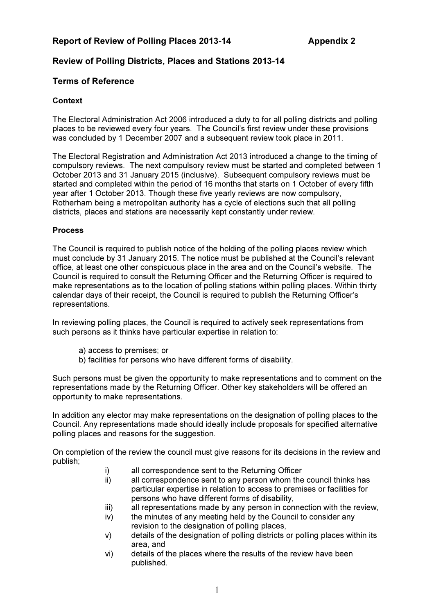# Report of Review of Polling Places 2013-14 Appendix 2

# Review of Polling Districts, Places and Stations 2013-14

# Terms of Reference

## **Context**

The Electoral Administration Act 2006 introduced a duty to for all polling districts and polling places to be reviewed every four years. The Council's first review under these provisions was concluded by 1 December 2007 and a subsequent review took place in 2011.

The Electoral Registration and Administration Act 2013 introduced a change to the timing of compulsory reviews. The next compulsory review must be started and completed between 1 October 2013 and 31 January 2015 (inclusive). Subsequent compulsory reviews must be started and completed within the period of 16 months that starts on 1 October of every fifth year after 1 October 2013. Though these five yearly reviews are now compulsory, Rotherham being a metropolitan authority has a cycle of elections such that all polling districts, places and stations are necessarily kept constantly under review.

#### **Process**

The Council is required to publish notice of the holding of the polling places review which must conclude by 31 January 2015. The notice must be published at the Council's relevant office, at least one other conspicuous place in the area and on the Council's website. The Council is required to consult the Returning Officer and the Returning Officer is required to make representations as to the location of polling stations within polling places. Within thirty calendar days of their receipt, the Council is required to publish the Returning Officer's representations.

In reviewing polling places, the Council is required to actively seek representations from such persons as it thinks have particular expertise in relation to:

- a) access to premises; or
- b) facilities for persons who have different forms of disability.

Such persons must be given the opportunity to make representations and to comment on the representations made by the Returning Officer. Other key stakeholders will be offered an opportunity to make representations.

In addition any elector may make representations on the designation of polling places to the Council. Any representations made should ideally include proposals for specified alternative polling places and reasons for the suggestion.

On completion of the review the council must give reasons for its decisions in the review and publish;

- i) all correspondence sent to the Returning Officer
- ii) all correspondence sent to any person whom the council thinks has particular expertise in relation to access to premises or facilities for persons who have different forms of disability,
- iii) all representations made by any person in connection with the review,
- iv) the minutes of any meeting held by the Council to consider any revision to the designation of polling places,
- v) details of the designation of polling districts or polling places within its area, and
- vi) details of the places where the results of the review have been published.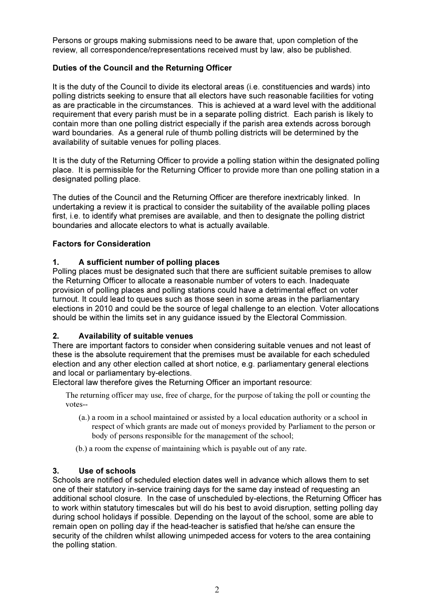Persons or groups making submissions need to be aware that, upon completion of the review, all correspondence/representations received must by law, also be published.

## Duties of the Council and the Returning Officer

It is the duty of the Council to divide its electoral areas (i.e. constituencies and wards) into polling districts seeking to ensure that all electors have such reasonable facilities for voting as are practicable in the circumstances. This is achieved at a ward level with the additional requirement that every parish must be in a separate polling district. Each parish is likely to contain more than one polling district especially if the parish area extends across borough ward boundaries. As a general rule of thumb polling districts will be determined by the availability of suitable venues for polling places.

It is the duty of the Returning Officer to provide a polling station within the designated polling place. It is permissible for the Returning Officer to provide more than one polling station in a designated polling place.

The duties of the Council and the Returning Officer are therefore inextricably linked. In undertaking a review it is practical to consider the suitability of the available polling places first, i.e. to identify what premises are available, and then to designate the polling district boundaries and allocate electors to what is actually available.

## Factors for Consideration

## 1. A sufficient number of polling places

Polling places must be designated such that there are sufficient suitable premises to allow the Returning Officer to allocate a reasonable number of voters to each. Inadequate provision of polling places and polling stations could have a detrimental effect on voter turnout. It could lead to queues such as those seen in some areas in the parliamentary elections in 2010 and could be the source of legal challenge to an election. Voter allocations should be within the limits set in any guidance issued by the Electoral Commission.

#### 2. Availability of suitable venues

There are important factors to consider when considering suitable venues and not least of these is the absolute requirement that the premises must be available for each scheduled election and any other election called at short notice, e.g. parliamentary general elections and local or parliamentary by-elections.

Electoral law therefore gives the Returning Officer an important resource:

The returning officer may use, free of charge, for the purpose of taking the poll or counting the votes--

- (a.) a room in a school maintained or assisted by a local education authority or a school in respect of which grants are made out of moneys provided by Parliament to the person or body of persons responsible for the management of the school;
- (b.) a room the expense of maintaining which is payable out of any rate.

#### 3. Use of schools

Schools are notified of scheduled election dates well in advance which allows them to set one of their statutory in-service training days for the same day instead of requesting an additional school closure. In the case of unscheduled by-elections, the Returning Officer has to work within statutory timescales but will do his best to avoid disruption, setting polling day during school holidays if possible. Depending on the layout of the school, some are able to remain open on polling day if the head-teacher is satisfied that he/she can ensure the security of the children whilst allowing unimpeded access for voters to the area containing the polling station.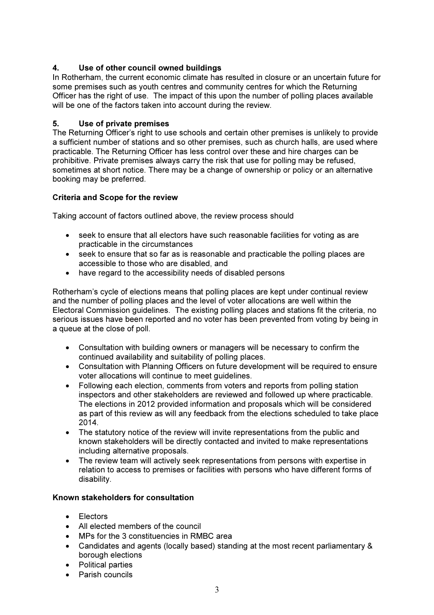## 4. Use of other council owned buildings

In Rotherham, the current economic climate has resulted in closure or an uncertain future for some premises such as youth centres and community centres for which the Returning Officer has the right of use. The impact of this upon the number of polling places available will be one of the factors taken into account during the review.

### 5. Use of private premises

The Returning Officer's right to use schools and certain other premises is unlikely to provide a sufficient number of stations and so other premises, such as church halls, are used where practicable. The Returning Officer has less control over these and hire charges can be prohibitive. Private premises always carry the risk that use for polling may be refused, sometimes at short notice. There may be a change of ownership or policy or an alternative booking may be preferred.

## Criteria and Scope for the review

Taking account of factors outlined above, the review process should

- seek to ensure that all electors have such reasonable facilities for voting as are practicable in the circumstances
- seek to ensure that so far as is reasonable and practicable the polling places are accessible to those who are disabled, and
- have regard to the accessibility needs of disabled persons

Rotherham's cycle of elections means that polling places are kept under continual review and the number of polling places and the level of voter allocations are well within the Electoral Commission guidelines. The existing polling places and stations fit the criteria, no serious issues have been reported and no voter has been prevented from voting by being in a queue at the close of poll.

- Consultation with building owners or managers will be necessary to confirm the continued availability and suitability of polling places.
- Consultation with Planning Officers on future development will be required to ensure voter allocations will continue to meet guidelines.
- Following each election, comments from voters and reports from polling station inspectors and other stakeholders are reviewed and followed up where practicable. The elections in 2012 provided information and proposals which will be considered as part of this review as will any feedback from the elections scheduled to take place 2014.
- The statutory notice of the review will invite representations from the public and known stakeholders will be directly contacted and invited to make representations including alternative proposals.
- The review team will actively seek representations from persons with expertise in relation to access to premises or facilities with persons who have different forms of disability.

#### Known stakeholders for consultation

- Electors
- All elected members of the council
- MPs for the 3 constituencies in RMBC area
- Candidates and agents (locally based) standing at the most recent parliamentary & borough elections
- Political parties
- Parish councils